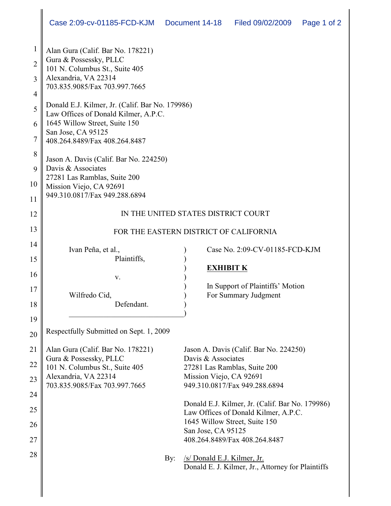| 1              | Alan Gura (Calif. Bar No. 178221)                                                                                                                                               |                                                         |  |  |  |  |  |
|----------------|---------------------------------------------------------------------------------------------------------------------------------------------------------------------------------|---------------------------------------------------------|--|--|--|--|--|
| $\overline{2}$ | Gura & Possessky, PLLC<br>101 N. Columbus St., Suite 405                                                                                                                        |                                                         |  |  |  |  |  |
| 3              | Alexandria, VA 22314<br>703.835.9085/Fax 703.997.7665                                                                                                                           |                                                         |  |  |  |  |  |
| 4              |                                                                                                                                                                                 |                                                         |  |  |  |  |  |
| 5              | Donald E.J. Kilmer, Jr. (Calif. Bar No. 179986)<br>Law Offices of Donald Kilmer, A.P.C.<br>1645 Willow Street, Suite 150<br>San Jose, CA 95125<br>408.264.8489/Fax 408.264.8487 |                                                         |  |  |  |  |  |
| 6              |                                                                                                                                                                                 |                                                         |  |  |  |  |  |
| 7              |                                                                                                                                                                                 |                                                         |  |  |  |  |  |
| 8              | Jason A. Davis (Calif. Bar No. 224250)                                                                                                                                          |                                                         |  |  |  |  |  |
| 9              | Davis & Associates                                                                                                                                                              |                                                         |  |  |  |  |  |
| 10             | 27281 Las Ramblas, Suite 200<br>Mission Viejo, CA 92691                                                                                                                         |                                                         |  |  |  |  |  |
| 11             | 949.310.0817/Fax 949.288.6894                                                                                                                                                   |                                                         |  |  |  |  |  |
| 12             | IN THE UNITED STATES DISTRICT COURT                                                                                                                                             |                                                         |  |  |  |  |  |
| 13             | FOR THE EASTERN DISTRICT OF CALIFORNIA                                                                                                                                          |                                                         |  |  |  |  |  |
| 14             | Ivan Peña, et al.,                                                                                                                                                              | Case No. 2:09-CV-01185-FCD-KJM                          |  |  |  |  |  |
| 15             | Plaintiffs,                                                                                                                                                                     |                                                         |  |  |  |  |  |
| 16             |                                                                                                                                                                                 | <b>EXHIBIT K</b>                                        |  |  |  |  |  |
|                | V.                                                                                                                                                                              | In Support of Plaintiffs' Motion                        |  |  |  |  |  |
| 17             | Wilfredo Cid,                                                                                                                                                                   | For Summary Judgment                                    |  |  |  |  |  |
| 18             | Defendant.                                                                                                                                                                      |                                                         |  |  |  |  |  |
| 19             |                                                                                                                                                                                 |                                                         |  |  |  |  |  |
| 20             | Respectfully Submitted on Sept. 1, 2009                                                                                                                                         |                                                         |  |  |  |  |  |
| 21             | Alan Gura (Calif. Bar No. 178221)                                                                                                                                               | Jason A. Davis (Calif. Bar No. 224250)                  |  |  |  |  |  |
| 22             | Gura & Possessky, PLLC                                                                                                                                                          | Davis & Associates                                      |  |  |  |  |  |
|                | 101 N. Columbus St., Suite 405<br>Alexandria, VA 22314                                                                                                                          | 27281 Las Ramblas, Suite 200<br>Mission Viejo, CA 92691 |  |  |  |  |  |
| 23             | 703.835.9085/Fax 703.997.7665                                                                                                                                                   | 949.310.0817/Fax 949.288.6894                           |  |  |  |  |  |
| 24             |                                                                                                                                                                                 |                                                         |  |  |  |  |  |
| 25             | Donald E.J. Kilmer, Jr. (Calif. Bar No. 179986)<br>Law Offices of Donald Kilmer, A.P.C.                                                                                         |                                                         |  |  |  |  |  |
| 26             | 1645 Willow Street, Suite 150                                                                                                                                                   |                                                         |  |  |  |  |  |
|                | San Jose, CA 95125                                                                                                                                                              |                                                         |  |  |  |  |  |
| 27             |                                                                                                                                                                                 | 408.264.8489/Fax 408.264.8487                           |  |  |  |  |  |
| 28             | By:                                                                                                                                                                             | /s/ Donald E.J. Kilmer, Jr.                             |  |  |  |  |  |
|                |                                                                                                                                                                                 | Donald E. J. Kilmer, Jr., Attorney for Plaintiffs       |  |  |  |  |  |